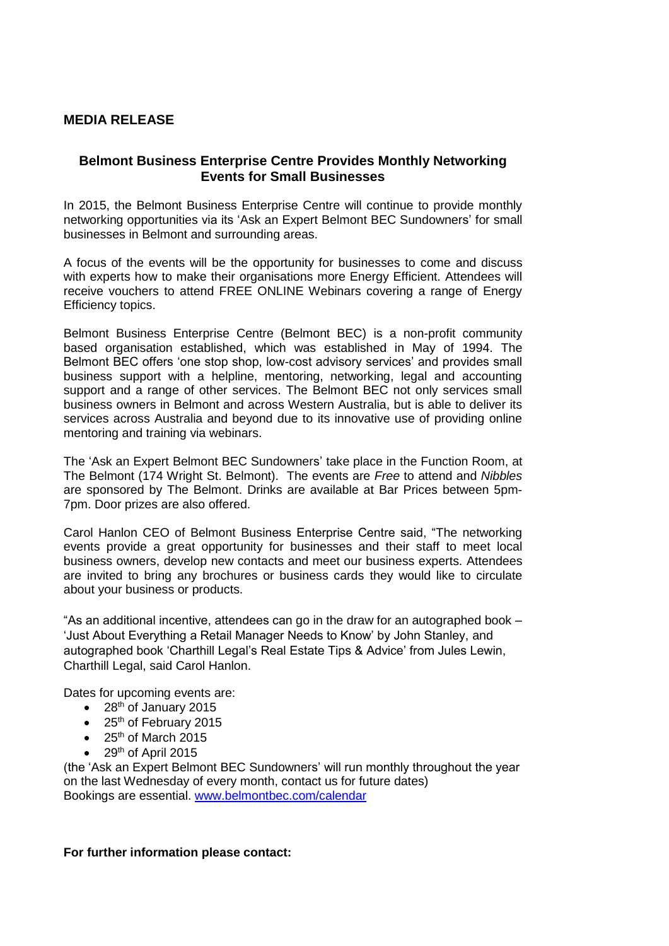## **MEDIA RELEASE**

## **Belmont Business Enterprise Centre Provides Monthly Networking Events for Small Businesses**

In 2015, the Belmont Business Enterprise Centre will continue to provide monthly networking opportunities via its 'Ask an Expert Belmont BEC Sundowners' for small businesses in Belmont and surrounding areas.

A focus of the events will be the opportunity for businesses to come and discuss with experts how to make their organisations more Energy Efficient. Attendees will receive vouchers to attend FREE ONLINE Webinars covering a range of Energy Efficiency topics.

Belmont Business Enterprise Centre (Belmont BEC) is a non-profit community based organisation established, which was established in May of 1994. The Belmont BEC offers 'one stop shop, low-cost advisory services' and provides small business support with a helpline, mentoring, networking, legal and accounting support and a range of other services. The Belmont BEC not only services small business owners in Belmont and across Western Australia, but is able to deliver its services across Australia and beyond due to its innovative use of providing online mentoring and training via webinars.

The 'Ask an Expert Belmont BEC Sundowners' take place in the Function Room, at The Belmont (174 Wright St. Belmont). The events are *Free* to attend and *Nibbles*  are sponsored by The Belmont. Drinks are available at Bar Prices between 5pm-7pm. Door prizes are also offered.

Carol Hanlon CEO of Belmont Business Enterprise Centre said, "The networking events provide a great opportunity for businesses and their staff to meet local business owners, develop new contacts and meet our business experts. Attendees are invited to bring any brochures or business cards they would like to circulate about your business or products.

"As an additional incentive, attendees can go in the draw for an autographed book – 'Just About Everything a Retail Manager Needs to Know' by John Stanley, and autographed book 'Charthill Legal's Real Estate Tips & Advice' from Jules Lewin, Charthill Legal, said Carol Hanlon.

Dates for upcoming events are:

- $\bullet$  28<sup>th</sup> of January 2015
- $\bullet$  25<sup>th</sup> of February 2015
- $\bullet$  25<sup>th</sup> of March 2015
- $\bullet$  29<sup>th</sup> of April 2015

(the 'Ask an Expert Belmont BEC Sundowners' will run monthly throughout the year on the last Wednesday of every month, contact us for future dates) Bookings are essential. [www.belmontbec.com/calendar](http://www.belmontbec.com/calendar)

## **For further information please contact:**